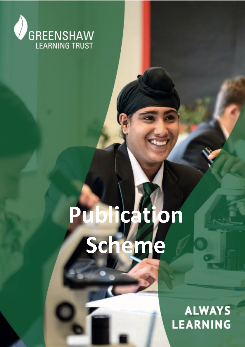

Communications Policy and Freedom of Information Act

# **Publication Scheme**

1. Introduction………………………………………………………………………………………………………………………………2 1.1 Application………………………………………………………………………………………………………………………………..2 1.2 Approval and review………………………………………………………………………………………………………………….2 1.3 Terminology………………………………………………………………………………………………………………………………2 1.4 Responsibilities………………………………………………………………………………………………………………………….2 1.5 How to obtain information…………………………………………………………………………………………………………3

2. Guide to information available from the Greenshaw Learning Trust in accordance with the GLT

Class 1………………………………………………………………………………………………………………………………………4  $C = \{x_1, \ldots, x_n\}$  . The contract of  $C$ Class 3………………………………………………………………………………………………………………………………………6  $\mathcal{L} = \{ \mathcal{L} \mid \mathcal{L} \mid \mathcal{L} \mid \mathcal{L} \mid \mathcal{L} \mid \mathcal{L} \mid \mathcal{L} \mid \mathcal{L} \mid \mathcal{L} \mid \mathcal{L} \mid \mathcal{L} \mid \mathcal{L} \mid \mathcal{L} \mid \mathcal{L} \mid \mathcal{L} \mid \mathcal{L} \mid \mathcal{L} \mid \mathcal{L} \mid \mathcal{L} \mid \mathcal{L} \mid \mathcal{L} \mid \mathcal{L} \mid \mathcal{L} \mid \mathcal{L} \mid \mathcal{L} \mid \mathcal{L} \mid \mathcal{$ Class 5………………………………………………………………………………………………………………………………………6 Class 6………………………………………………………………………………………………………………………………………7  $\mathbb{C}$  , and  $\mathbb{C}$  , and  $\mathbb{C}$  , and  $\mathbb{C}$  , and  $\mathbb{C}$  , and  $\mathbb{C}$  , and  $\mathbb{C}$  , and  $\mathbb{C}$  , and

3. Schedule of Charges…………………………………………………………………………………………………………………………8

**ALWAYS** LEARNING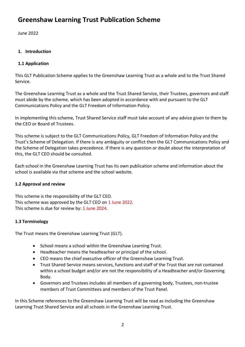# **Greenshaw Learning Trust Publication Scheme**

June 2022

# **1. Introduction**

# **1.1 Application**

This GLT Publication Scheme applies to the Greenshaw Learning Trust as a whole and to the Trust Shared Service.

The Greenshaw Learning Trust as a whole and the Trust Shared Service, their Trustees, governors and staff must abide by the scheme, which has been adopted in accordance with and pursuant to the GLT Communications Policy and the GLT Freedom of Information Policy.

In implementing this scheme, Trust Shared Service staff must take account of any advice given to them by the CEO or Board of Trustees.

This scheme is subject to the GLT Communications Policy, GLT Freedom of Information Policy and the Trust's Scheme of Delegation. If there is any ambiguity or conflict then the GLT Communications Policy and the Scheme of Delegation takes precedence. If there is any question or doubt about the interpretation of this, the GLT CEO should be consulted.

Each school in the Greenshaw Learning Trust has its own publication scheme and information about the school is available via that scheme and the school website.

# **1.2 Approval and review**

This scheme is the responsibility of the GLT CEO. This scheme was approved by the GLT CEO on 1 June 2022. This scheme is due for review by: 1 June 2024.

# **1.3 Terminology**

The Trust means the Greenshaw Learning Trust (GLT).

- School means a school within the Greenshaw Learning Trust.
- Headteacher means the headteacher or principal of the school.
- CEO means the chief executive officer of the Greenshaw Learning Trust.
- Trust Shared Service means services, functions and staff of the Trust that are not contained within a school budget and/or are not the responsibility of a Headteacher and/or Governing Body.
- Governors and Trustees includes all members of a governing body, Trustees, non-trustee members of Trust Committees and members of the Trust Panel.

In this Scheme references to the Greenshaw Learning Trust will be read as including the Greenshaw Learning Trust Shared Service and all schools in the Greenshaw Learning Trust.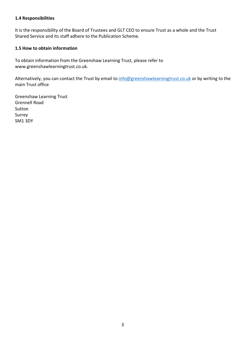#### **1.4 Responsibilities**

It is the responsibility of the Board of Trustees and GLT CEO to ensure Trust as a whole and the Trust Shared Service and its staff adhere to the Publication Scheme.

#### **1.5 How to obtain information**

To obtain information from the Greenshaw Learning Trust, please refer to www.greenshawlearningtrust.co.uk.

Alternatively, you can contact the Trust by email to info@greenshawlearningtrust.co.uk or by writing to the main Trust office

Greenshaw Learning Trust Grennell Road Sutton Surrey SM1 3DY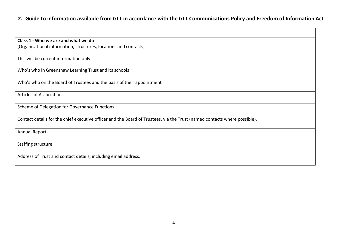# **2. Guide to information available from GLT in accordance with the GLT Communications Policy and Freedom of Information Act**

 $\mathbf{I}$ 

| Class 1 - Who we are and what we do                                                                                       |  |  |  |
|---------------------------------------------------------------------------------------------------------------------------|--|--|--|
| (Organisational information, structures, locations and contacts)                                                          |  |  |  |
|                                                                                                                           |  |  |  |
| This will be current information only                                                                                     |  |  |  |
|                                                                                                                           |  |  |  |
| Who's who in Greenshaw Learning Trust and its schools                                                                     |  |  |  |
| Who's who on the Board of Trustees and the basis of their appointment                                                     |  |  |  |
|                                                                                                                           |  |  |  |
| <b>Articles of Association</b>                                                                                            |  |  |  |
|                                                                                                                           |  |  |  |
| Scheme of Delegation for Governance Functions                                                                             |  |  |  |
|                                                                                                                           |  |  |  |
| Contact details for the chief executive officer and the Board of Trustees, via the Trust (named contacts where possible). |  |  |  |
|                                                                                                                           |  |  |  |
| Annual Report                                                                                                             |  |  |  |
|                                                                                                                           |  |  |  |
| Staffing structure                                                                                                        |  |  |  |
| Address of Trust and contact details, including email address.                                                            |  |  |  |
|                                                                                                                           |  |  |  |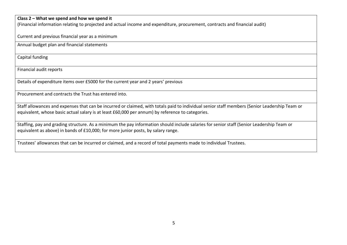#### **Class 2 – What we spend and how we spend it**

(Financial information relating to projected and actual income and expenditure, procurement, contracts and financial audit)

Current and previous financial year as a minimum

Annual budget plan and financial statements

Capital funding

Financial audit reports

Details of expenditure items over £5000 for the current year and 2 years' previous

Procurement and contracts the Trust has entered into.

Staff allowances and expenses that can be incurred or claimed, with totals paid to individual senior staff members (Senior Leadership Team or equivalent, whose basic actual salary is at least £60,000 per annum) by reference to categories.

Staffing, pay and grading structure. As a minimum the pay information should include salaries for senior staff (Senior Leadership Team or equivalent as above) in bands of £10,000; for more junior posts, by salary range.

Trustees' allowances that can be incurred or claimed, and a record of total payments made to individual Trustees.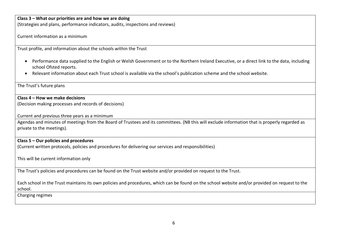#### **Class 3 – What our priorities are and how we are doing**

(Strategies and plans, performance indicators, audits, inspections and reviews)

Current information as a minimum

Trust profile, and information about the schools within the Trust

- Performance data supplied to the English or Welsh Government or to the Northern Ireland Executive, or a direct link to the data, including school Ofsted reports.
- Relevant information about each Trust school is available via the school's publication scheme and the school website.

The Trust's future plans

# **Class 4 – How we make decisions**

(Decision making processes and records of decisions)

Current and previous three years as a minimum

Agendas and minutes of meetings from the Board of Trustees and its committees. (NB this will exclude information that is properly regarded as private to the meetings).

#### **Class 5 – Our policies and procedures**

(Current written protocols, policies and procedures for delivering our services and responsibilities)

This will be current information only

The Trust's policies and procedures can be found on the Trust website and/or provided on request to the Trust.

Each school in the Trust maintains its own policies and procedures, which can be found on the school website and/or provided on request to the school.

Charging regimes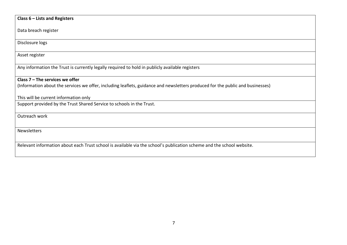| Class $6$ – Lists and Registers                                                                                                |  |  |  |
|--------------------------------------------------------------------------------------------------------------------------------|--|--|--|
|                                                                                                                                |  |  |  |
| Data breach register                                                                                                           |  |  |  |
|                                                                                                                                |  |  |  |
| Disclosure logs                                                                                                                |  |  |  |
| Asset register                                                                                                                 |  |  |  |
|                                                                                                                                |  |  |  |
| Any information the Trust is currently legally required to hold in publicly available registers                                |  |  |  |
|                                                                                                                                |  |  |  |
| Class $7$ – The services we offer                                                                                              |  |  |  |
| (Information about the services we offer, including leaflets, guidance and newsletters produced for the public and businesses) |  |  |  |
|                                                                                                                                |  |  |  |
| This will be current information only                                                                                          |  |  |  |
| Support provided by the Trust Shared Service to schools in the Trust.                                                          |  |  |  |
|                                                                                                                                |  |  |  |
| Outreach work                                                                                                                  |  |  |  |
|                                                                                                                                |  |  |  |
| <b>Newsletters</b>                                                                                                             |  |  |  |
|                                                                                                                                |  |  |  |
| Relevant information about each Trust school is available via the school's publication scheme and the school website.          |  |  |  |
|                                                                                                                                |  |  |  |